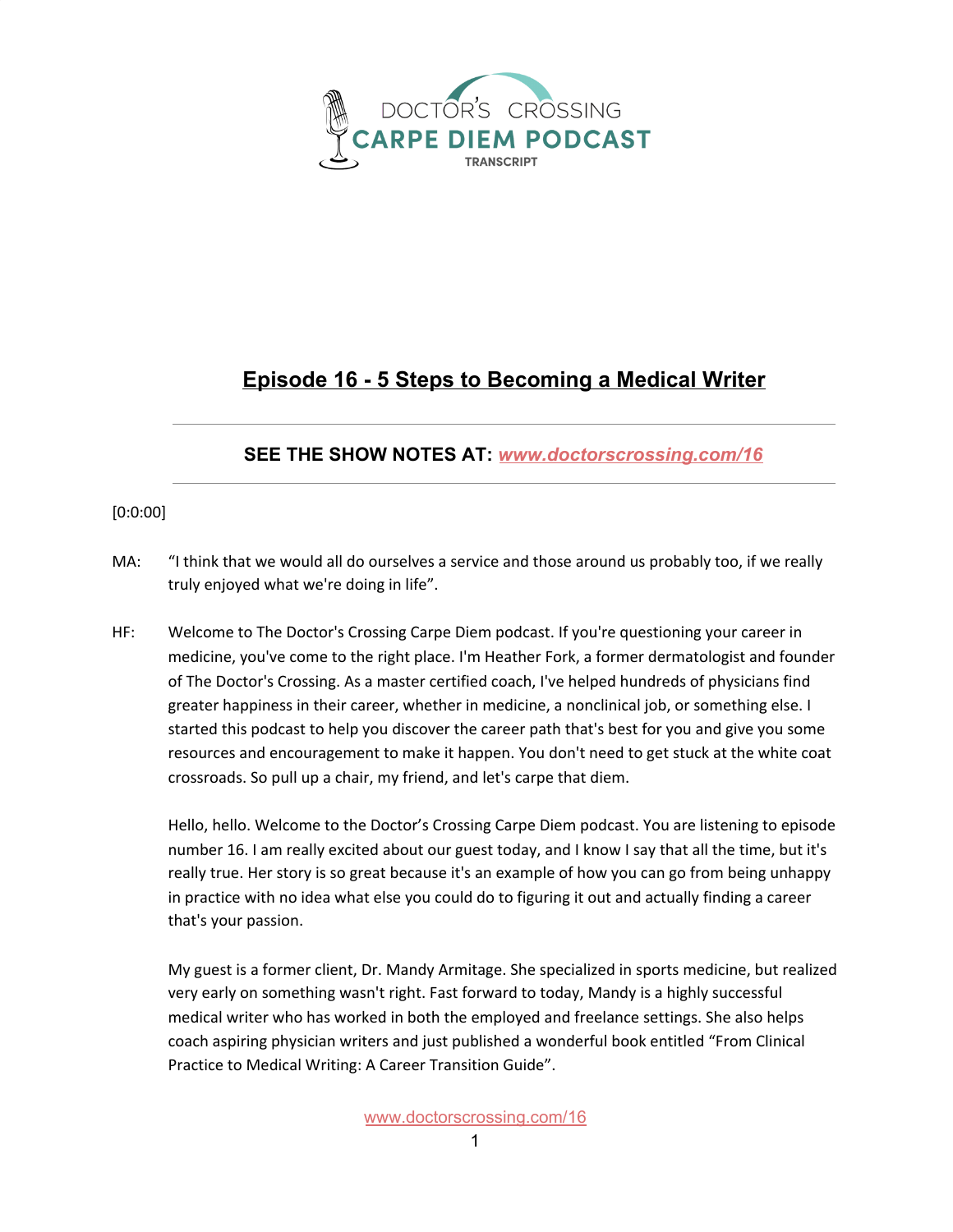

## **Episode 16 - 5 Steps to Becoming a Medical Writer**

## **SEE THE SHOW NOTES AT:** *[www.doctorscrossing.com/1](http://www.doctorscrossing.com/trailer)6*

## [0:0:00]

- MA: "I think that we would all do ourselves a service and those around us probably too, if we really truly enjoyed what we're doing in life".
- HF: Welcome to The Doctor's Crossing Carpe Diem podcast. If you're questioning your career in medicine, you've come to the right place. I'm Heather Fork, a former dermatologist and founder of The Doctor's Crossing. As a master certified coach, I've helped hundreds of physicians find greater happiness in their career, whether in medicine, a nonclinical job, or something else. I started this podcast to help you discover the career path that's best for you and give you some resources and encouragement to make it happen. You don't need to get stuck at the white coat crossroads. So pull up a chair, my friend, and let's carpe that diem.

Hello, hello. Welcome to the Doctor's Crossing Carpe Diem podcast. You are listening to episode number 16. I am really excited about our guest today, and I know I say that all the time, but it's really true. Her story is so great because it's an example of how you can go from being unhappy in practice with no idea what else you could do to figuring it out and actually finding a career that's your passion.

My guest is a former client, Dr. Mandy Armitage. She specialized in sports medicine, but realized very early on something wasn't right. Fast forward to today, Mandy is a highly successful medical writer who has worked in both the employed and freelance settings. She also helps coach aspiring physician writers and just published a wonderful book entitled "From Clinical Practice to Medical Writing: A Career Transition Guide".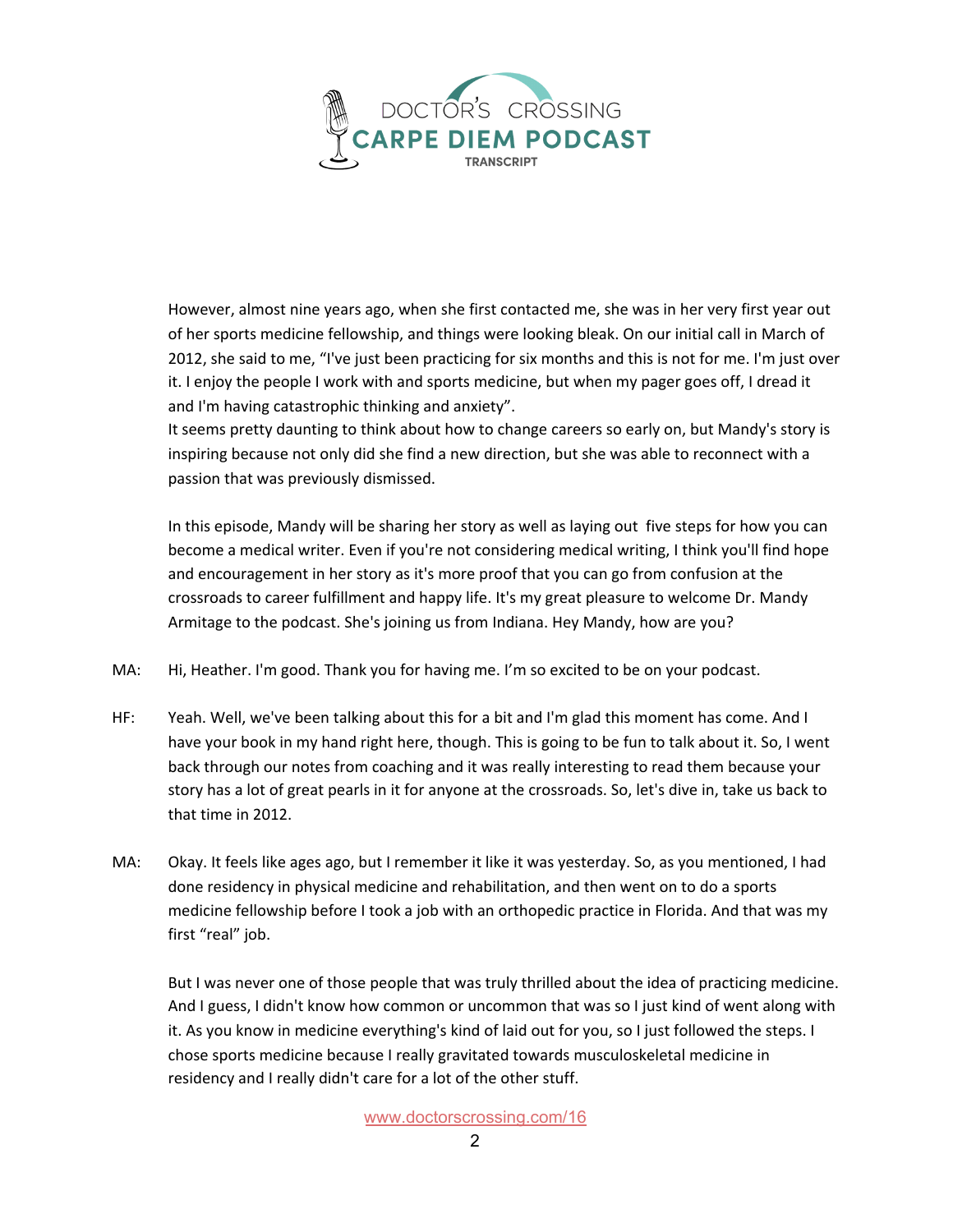

However, almost nine years ago, when she first contacted me, she was in her very first year out of her sports medicine fellowship, and things were looking bleak. On our initial call in March of 2012, she said to me, "I've just been practicing for six months and this is not for me. I'm just over it. I enjoy the people I work with and sports medicine, but when my pager goes off, I dread it and I'm having catastrophic thinking and anxiety".

It seems pretty daunting to think about how to change careers so early on, but Mandy's story is inspiring because not only did she find a new direction, but she was able to reconnect with a passion that was previously dismissed.

In this episode, Mandy will be sharing her story as well as laying out five steps for how you can become a medical writer. Even if you're not considering medical writing, I think you'll find hope and encouragement in her story as it's more proof that you can go from confusion at the crossroads to career fulfillment and happy life. It's my great pleasure to welcome Dr. Mandy Armitage to the podcast. She's joining us from Indiana. Hey Mandy, how are you?

- MA: Hi, Heather. I'm good. Thank you for having me. I'm so excited to be on your podcast.
- HF: Yeah. Well, we've been talking about this for a bit and I'm glad this moment has come. And I have your book in my hand right here, though. This is going to be fun to talk about it. So, I went back through our notes from coaching and it was really interesting to read them because your story has a lot of great pearls in it for anyone at the crossroads. So, let's dive in, take us back to that time in 2012.
- MA: Okay. It feels like ages ago, but I remember it like it was yesterday. So, as you mentioned, I had done residency in physical medicine and rehabilitation, and then went on to do a sports medicine fellowship before I took a job with an orthopedic practice in Florida. And that was my first "real" job.

But I was never one of those people that was truly thrilled about the idea of practicing medicine. And I guess, I didn't know how common or uncommon that was so I just kind of went along with it. As you know in medicine everything's kind of laid out for you, so I just followed the steps. I chose sports medicine because I really gravitated towards musculoskeletal medicine in residency and I really didn't care for a lot of the other stuff.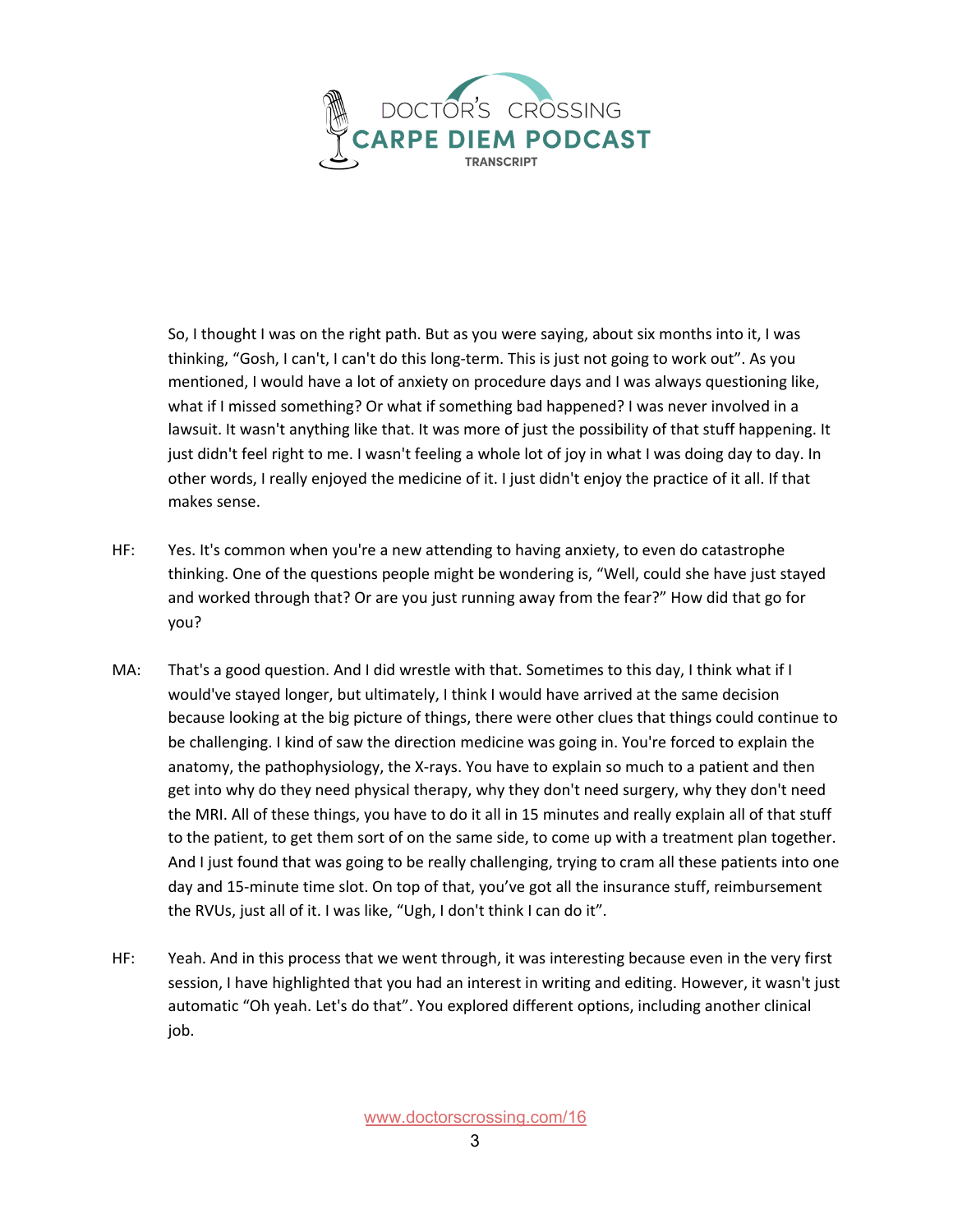

So, I thought I was on the right path. But as you were saying, about six months into it, I was thinking, "Gosh, I can't, I can't do this long-term. This is just not going to work out". As you mentioned, I would have a lot of anxiety on procedure days and I was always questioning like, what if I missed something? Or what if something bad happened? I was never involved in a lawsuit. It wasn't anything like that. It was more of just the possibility of that stuff happening. It just didn't feel right to me. I wasn't feeling a whole lot of joy in what I was doing day to day. In other words, I really enjoyed the medicine of it. I just didn't enjoy the practice of it all. If that makes sense.

- HF: Yes. It's common when you're a new attending to having anxiety, to even do catastrophe thinking. One of the questions people might be wondering is, "Well, could she have just stayed and worked through that? Or are you just running away from the fear?" How did that go for you?
- MA: That's a good question. And I did wrestle with that. Sometimes to this day, I think what if I would've stayed longer, but ultimately, I think I would have arrived at the same decision because looking at the big picture of things, there were other clues that things could continue to be challenging. I kind of saw the direction medicine was going in. You're forced to explain the anatomy, the pathophysiology, the X-rays. You have to explain so much to a patient and then get into why do they need physical therapy, why they don't need surgery, why they don't need the MRI. All of these things, you have to do it all in 15 minutes and really explain all of that stuff to the patient, to get them sort of on the same side, to come up with a treatment plan together. And I just found that was going to be really challenging, trying to cram all these patients into one day and 15-minute time slot. On top of that, you've got all the insurance stuff, reimbursement the RVUs, just all of it. I was like, "Ugh, I don't think I can do it".
- HF: Yeah. And in this process that we went through, it was interesting because even in the very first session, I have highlighted that you had an interest in writing and editing. However, it wasn't just automatic "Oh yeah. Let's do that". You explored different options, including another clinical job.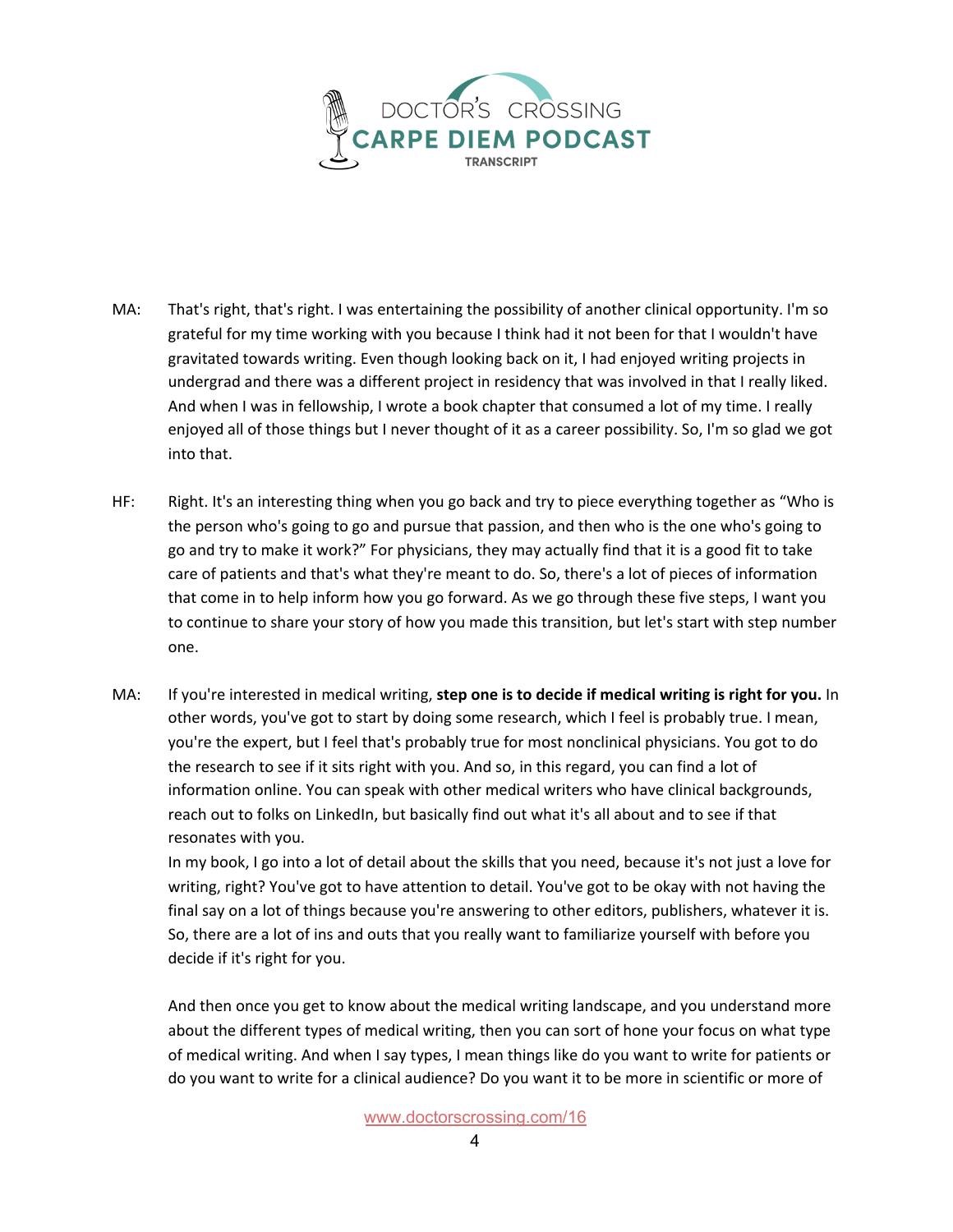

- MA: That's right, that's right. I was entertaining the possibility of another clinical opportunity. I'm so grateful for my time working with you because I think had it not been for that I wouldn't have gravitated towards writing. Even though looking back on it, I had enjoyed writing projects in undergrad and there was a different project in residency that was involved in that I really liked. And when I was in fellowship, I wrote a book chapter that consumed a lot of my time. I really enjoyed all of those things but I never thought of it as a career possibility. So, I'm so glad we got into that.
- HF: Right. It's an interesting thing when you go back and try to piece everything together as "Who is the person who's going to go and pursue that passion, and then who is the one who's going to go and try to make it work?" For physicians, they may actually find that it is a good fit to take care of patients and that's what they're meant to do. So, there's a lot of pieces of information that come in to help inform how you go forward. As we go through these five steps, I want you to continue to share your story of how you made this transition, but let's start with step number one.
- MA: If you're interested in medical writing, **step one is to decide if medical writing is right for you.** In other words, you've got to start by doing some research, which I feel is probably true. I mean, you're the expert, but I feel that's probably true for most nonclinical physicians. You got to do the research to see if it sits right with you. And so, in this regard, you can find a lot of information online. You can speak with other medical writers who have clinical backgrounds, reach out to folks on LinkedIn, but basically find out what it's all about and to see if that resonates with you.

In my book, I go into a lot of detail about the skills that you need, because it's not just a love for writing, right? You've got to have attention to detail. You've got to be okay with not having the final say on a lot of things because you're answering to other editors, publishers, whatever it is. So, there are a lot of ins and outs that you really want to familiarize yourself with before you decide if it's right for you.

And then once you get to know about the medical writing landscape, and you understand more about the different types of medical writing, then you can sort of hone your focus on what type of medical writing. And when I say types, I mean things like do you want to write for patients or do you want to write for a clinical audience? Do you want it to be more in scientific or more of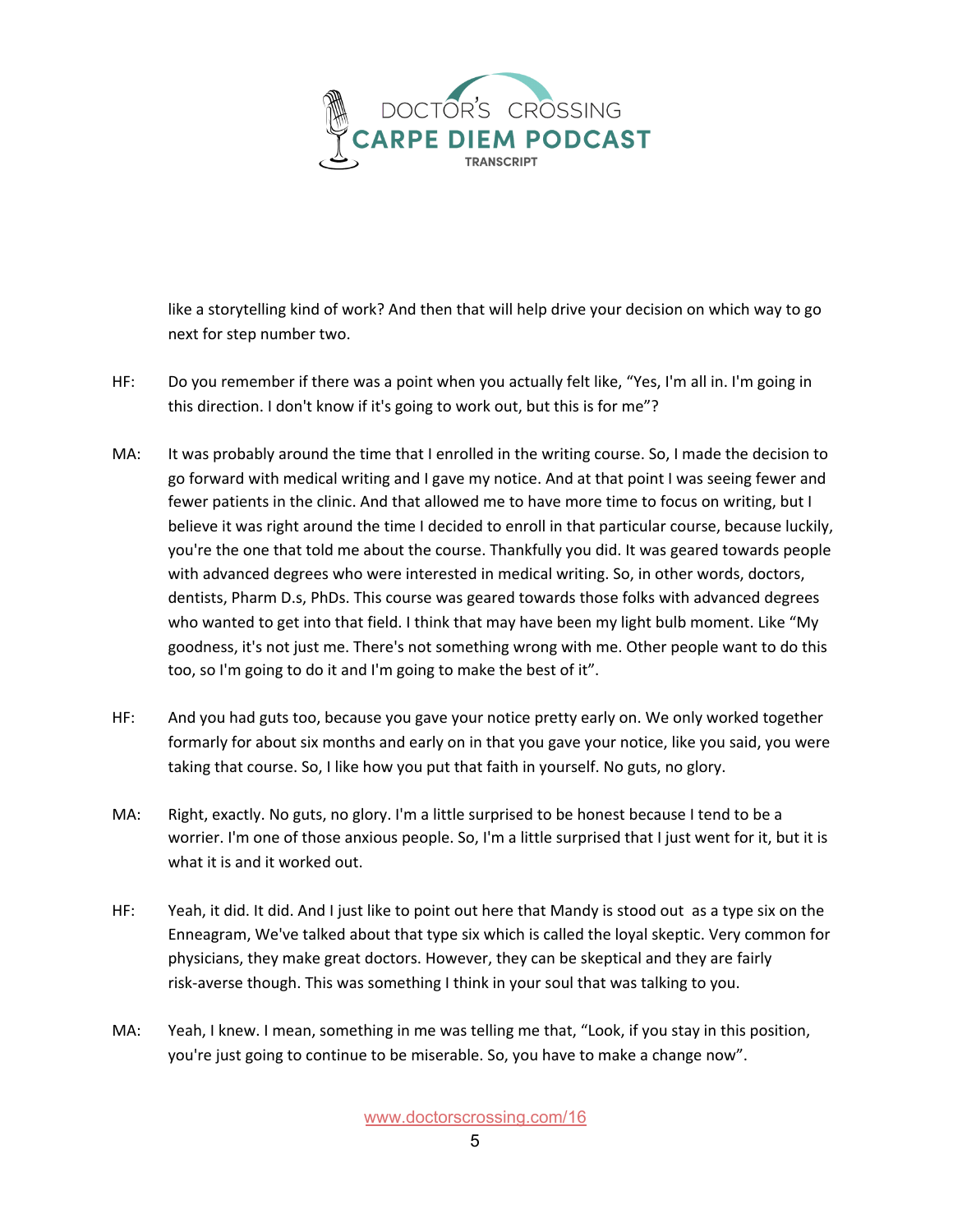

like a storytelling kind of work? And then that will help drive your decision on which way to go next for step number two.

- HF: Do you remember if there was a point when you actually felt like, "Yes, I'm all in. I'm going in this direction. I don't know if it's going to work out, but this is for me"?
- MA: It was probably around the time that I enrolled in the writing course. So, I made the decision to go forward with medical writing and I gave my notice. And at that point I was seeing fewer and fewer patients in the clinic. And that allowed me to have more time to focus on writing, but I believe it was right around the time I decided to enroll in that particular course, because luckily, you're the one that told me about the course. Thankfully you did. It was geared towards people with advanced degrees who were interested in medical writing. So, in other words, doctors, dentists, Pharm D.s, PhDs. This course was geared towards those folks with advanced degrees who wanted to get into that field. I think that may have been my light bulb moment. Like "My goodness, it's not just me. There's not something wrong with me. Other people want to do this too, so I'm going to do it and I'm going to make the best of it".
- HF: And you had guts too, because you gave your notice pretty early on. We only worked together formarly for about six months and early on in that you gave your notice, like you said, you were taking that course. So, I like how you put that faith in yourself. No guts, no glory.
- MA: Right, exactly. No guts, no glory. I'm a little surprised to be honest because I tend to be a worrier. I'm one of those anxious people. So, I'm a little surprised that I just went for it, but it is what it is and it worked out.
- HF: Yeah, it did. It did. And I just like to point out here that Mandy is stood out as a type six on the Enneagram, We've talked about that type six which is called the loyal skeptic. Very common for physicians, they make great doctors. However, they can be skeptical and they are fairly risk-averse though. This was something I think in your soul that was talking to you.
- MA: Yeah, I knew. I mean, something in me was telling me that, "Look, if you stay in this position, you're just going to continue to be miserable. So, you have to make a change now".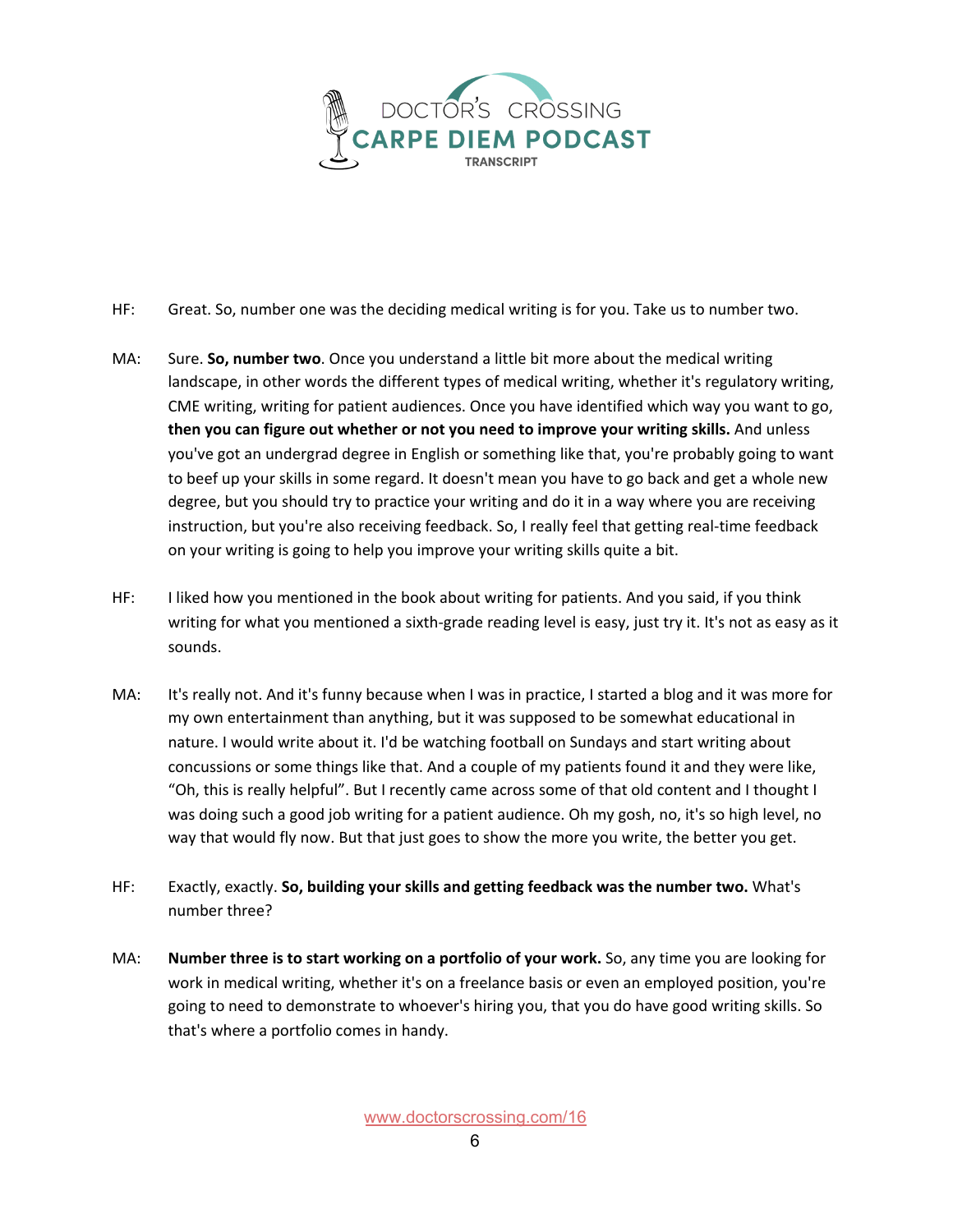

- HF: Great. So, number one was the deciding medical writing is for you. Take us to number two.
- MA: Sure. **So, number two**. Once you understand a little bit more about the medical writing landscape, in other words the different types of medical writing, whether it's regulatory writing, CME writing, writing for patient audiences. Once you have identified which way you want to go, **then you can figure out whether or not you need to improve your writing skills.** And unless you've got an undergrad degree in English or something like that, you're probably going to want to beef up your skills in some regard. It doesn't mean you have to go back and get a whole new degree, but you should try to practice your writing and do it in a way where you are receiving instruction, but you're also receiving feedback. So, I really feel that getting real-time feedback on your writing is going to help you improve your writing skills quite a bit.
- HF: I liked how you mentioned in the book about writing for patients. And you said, if you think writing for what you mentioned a sixth-grade reading level is easy, just try it. It's not as easy as it sounds.
- MA: It's really not. And it's funny because when I was in practice, I started a blog and it was more for my own entertainment than anything, but it was supposed to be somewhat educational in nature. I would write about it. I'd be watching football on Sundays and start writing about concussions or some things like that. And a couple of my patients found it and they were like, "Oh, this is really helpful". But I recently came across some of that old content and I thought I was doing such a good job writing for a patient audience. Oh my gosh, no, it's so high level, no way that would fly now. But that just goes to show the more you write, the better you get.
- HF: Exactly, exactly. **So, building your skills and getting feedback was the number two.** What's number three?
- MA: **Number three is to start working on a portfolio of your work.** So, any time you are looking for work in medical writing, whether it's on a freelance basis or even an employed position, you're going to need to demonstrate to whoever's hiring you, that you do have good writing skills. So that's where a portfolio comes in handy.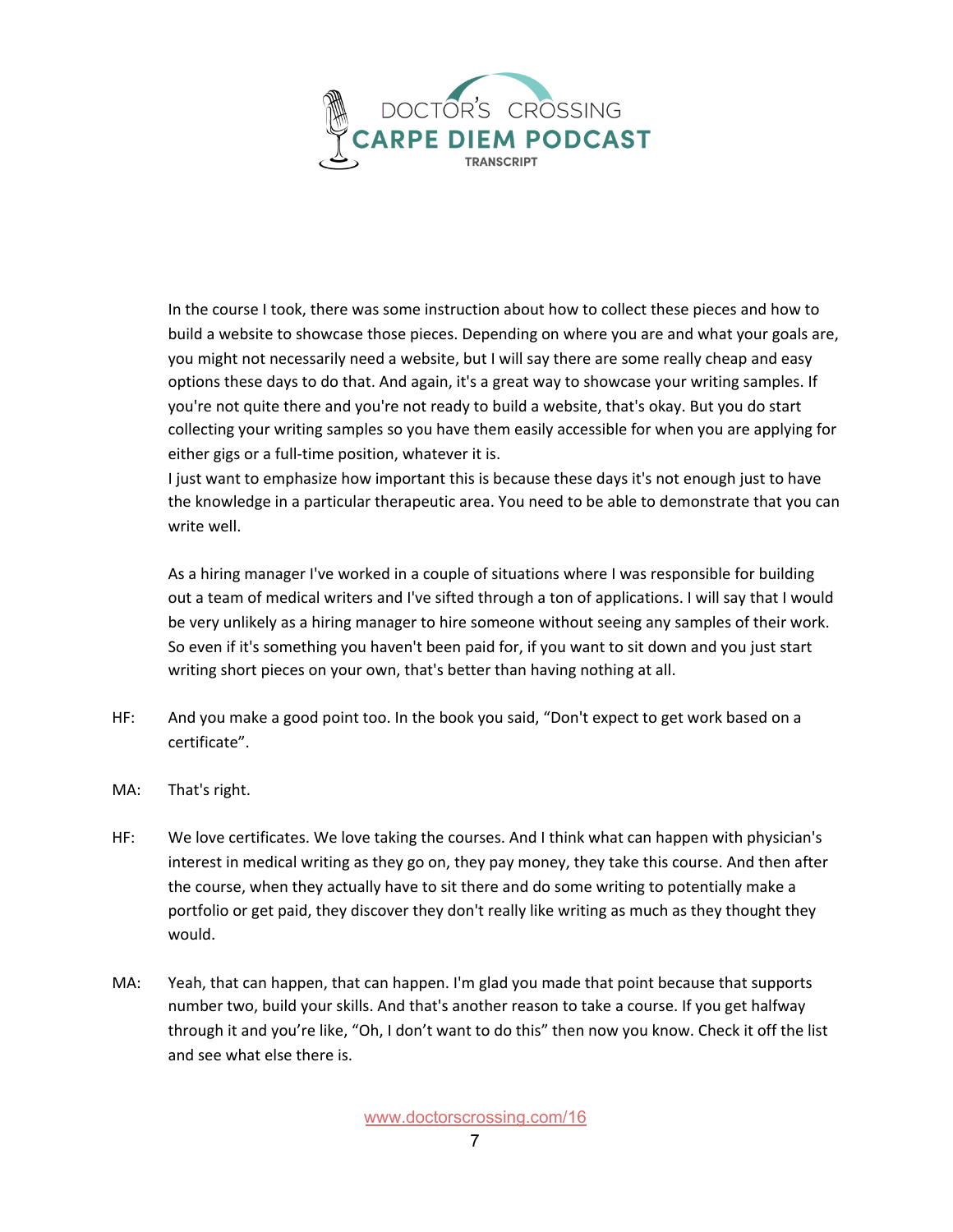

In the course I took, there was some instruction about how to collect these pieces and how to build a website to showcase those pieces. Depending on where you are and what your goals are, you might not necessarily need a website, but I will say there are some really cheap and easy options these days to do that. And again, it's a great way to showcase your writing samples. If you're not quite there and you're not ready to build a website, that's okay. But you do start collecting your writing samples so you have them easily accessible for when you are applying for either gigs or a full-time position, whatever it is.

I just want to emphasize how important this is because these days it's not enough just to have the knowledge in a particular therapeutic area. You need to be able to demonstrate that you can write well.

As a hiring manager I've worked in a couple of situations where I was responsible for building out a team of medical writers and I've sifted through a ton of applications. I will say that I would be very unlikely as a hiring manager to hire someone without seeing any samples of their work. So even if it's something you haven't been paid for, if you want to sit down and you just start writing short pieces on your own, that's better than having nothing at all.

- HF: And you make a good point too. In the book you said, "Don't expect to get work based on a certificate".
- MA: That's right.
- HF: We love certificates. We love taking the courses. And I think what can happen with physician's interest in medical writing as they go on, they pay money, they take this course. And then after the course, when they actually have to sit there and do some writing to potentially make a portfolio or get paid, they discover they don't really like writing as much as they thought they would.
- MA: Yeah, that can happen, that can happen. I'm glad you made that point because that supports number two, build your skills. And that's another reason to take a course. If you get halfway through it and you're like, "Oh, I don't want to do this" then now you know. Check it off the list and see what else there is.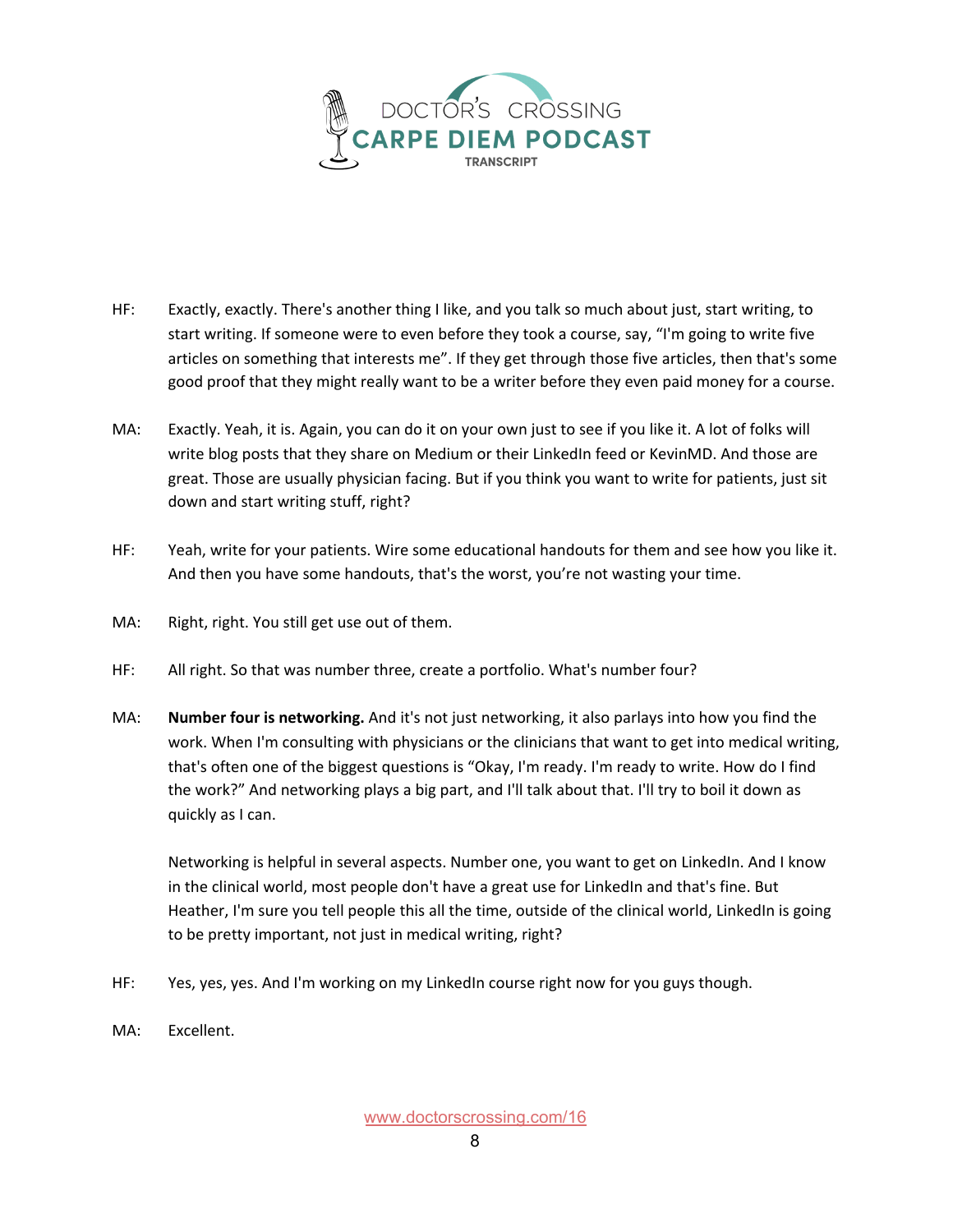

- HF: Exactly, exactly. There's another thing I like, and you talk so much about just, start writing, to start writing. If someone were to even before they took a course, say, "I'm going to write five articles on something that interests me". If they get through those five articles, then that's some good proof that they might really want to be a writer before they even paid money for a course.
- MA: Exactly. Yeah, it is. Again, you can do it on your own just to see if you like it. A lot of folks will write blog posts that they share on Medium or their LinkedIn feed or KevinMD. And those are great. Those are usually physician facing. But if you think you want to write for patients, just sit down and start writing stuff, right?
- HF: Yeah, write for your patients. Wire some educational handouts for them and see how you like it. And then you have some handouts, that's the worst, you're not wasting your time.
- MA: Right, right. You still get use out of them.
- HF: All right. So that was number three, create a portfolio. What's number four?
- MA: **Number four is networking.** And it's not just networking, it also parlays into how you find the work. When I'm consulting with physicians or the clinicians that want to get into medical writing, that's often one of the biggest questions is "Okay, I'm ready. I'm ready to write. How do I find the work?" And networking plays a big part, and I'll talk about that. I'll try to boil it down as quickly as I can.

Networking is helpful in several aspects. Number one, you want to get on LinkedIn. And I know in the clinical world, most people don't have a great use for LinkedIn and that's fine. But Heather, I'm sure you tell people this all the time, outside of the clinical world, LinkedIn is going to be pretty important, not just in medical writing, right?

- HF: Yes, yes, yes. And I'm working on my LinkedIn course right now for you guys though.
- MA: Excellent.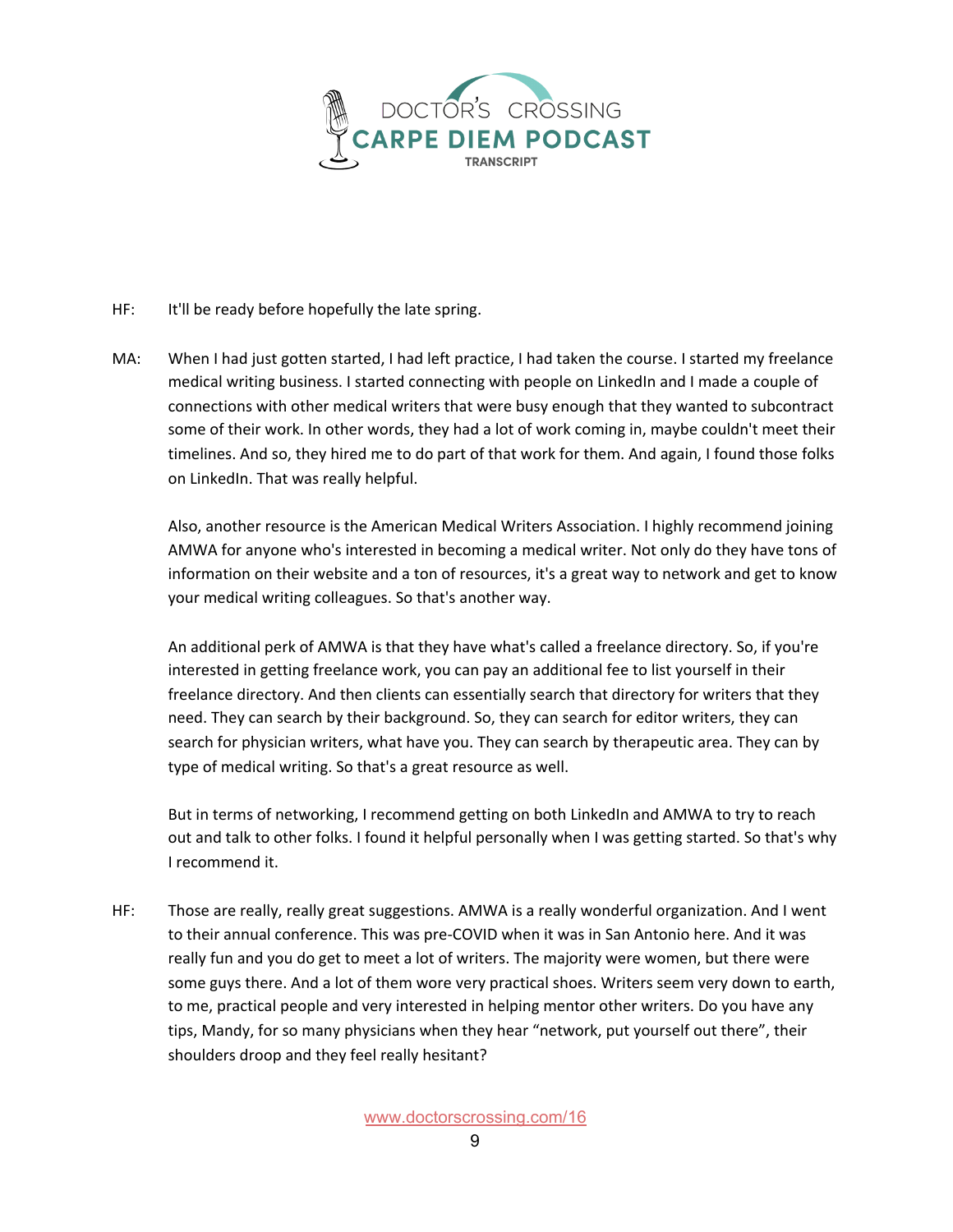

- HF: It'll be ready before hopefully the late spring.
- MA: When I had just gotten started, I had left practice, I had taken the course. I started my freelance medical writing business. I started connecting with people on LinkedIn and I made a couple of connections with other medical writers that were busy enough that they wanted to subcontract some of their work. In other words, they had a lot of work coming in, maybe couldn't meet their timelines. And so, they hired me to do part of that work for them. And again, I found those folks on LinkedIn. That was really helpful.

Also, another resource is the American Medical Writers Association. I highly recommend joining AMWA for anyone who's interested in becoming a medical writer. Not only do they have tons of information on their website and a ton of resources, it's a great way to network and get to know your medical writing colleagues. So that's another way.

An additional perk of AMWA is that they have what's called a freelance directory. So, if you're interested in getting freelance work, you can pay an additional fee to list yourself in their freelance directory. And then clients can essentially search that directory for writers that they need. They can search by their background. So, they can search for editor writers, they can search for physician writers, what have you. They can search by therapeutic area. They can by type of medical writing. So that's a great resource as well.

But in terms of networking, I recommend getting on both LinkedIn and AMWA to try to reach out and talk to other folks. I found it helpful personally when I was getting started. So that's why I recommend it.

HF: Those are really, really great suggestions. AMWA is a really wonderful organization. And I went to their annual conference. This was pre-COVID when it was in San Antonio here. And it was really fun and you do get to meet a lot of writers. The majority were women, but there were some guys there. And a lot of them wore very practical shoes. Writers seem very down to earth, to me, practical people and very interested in helping mentor other writers. Do you have any tips, Mandy, for so many physicians when they hear "network, put yourself out there", their shoulders droop and they feel really hesitant?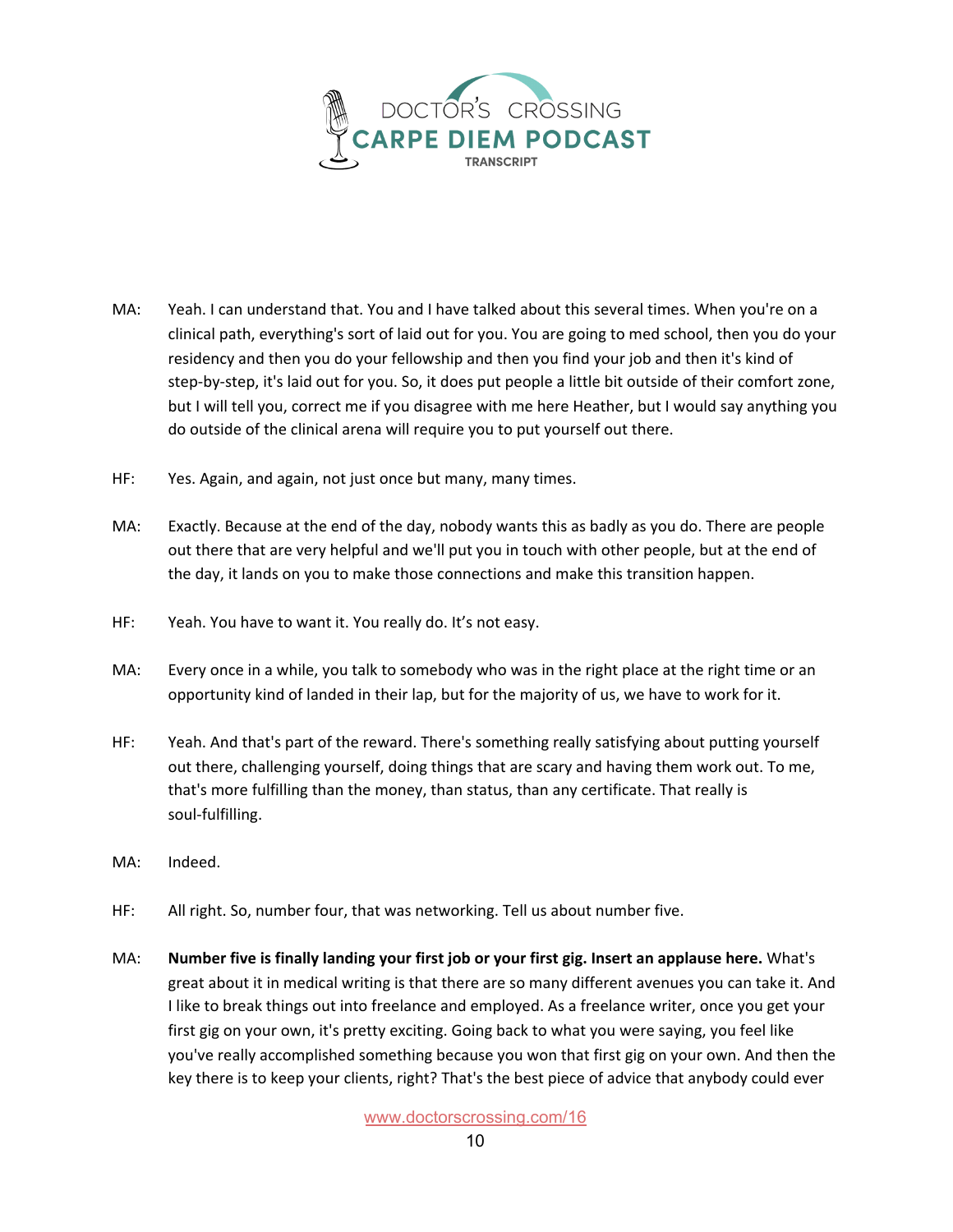

- MA: Yeah. I can understand that. You and I have talked about this several times. When you're on a clinical path, everything's sort of laid out for you. You are going to med school, then you do your residency and then you do your fellowship and then you find your job and then it's kind of step-by-step, it's laid out for you. So, it does put people a little bit outside of their comfort zone, but I will tell you, correct me if you disagree with me here Heather, but I would say anything you do outside of the clinical arena will require you to put yourself out there.
- HF: Yes. Again, and again, not just once but many, many times.
- MA: Exactly. Because at the end of the day, nobody wants this as badly as you do. There are people out there that are very helpful and we'll put you in touch with other people, but at the end of the day, it lands on you to make those connections and make this transition happen.
- HF: Yeah. You have to want it. You really do. It's not easy.
- MA: Every once in a while, you talk to somebody who was in the right place at the right time or an opportunity kind of landed in their lap, but for the majority of us, we have to work for it.
- HF: Yeah. And that's part of the reward. There's something really satisfying about putting yourself out there, challenging yourself, doing things that are scary and having them work out. To me, that's more fulfilling than the money, than status, than any certificate. That really is soul-fulfilling.
- MA: Indeed.
- HF: All right. So, number four, that was networking. Tell us about number five.
- MA: **Number five is finally landing your first job or your first gig. Insert an applause here.** What's great about it in medical writing is that there are so many different avenues you can take it. And I like to break things out into freelance and employed. As a freelance writer, once you get your first gig on your own, it's pretty exciting. Going back to what you were saying, you feel like you've really accomplished something because you won that first gig on your own. And then the key there is to keep your clients, right? That's the best piece of advice that anybody could ever

[www.doctorscrossing.com/16](http://www.doctorscrossing.com/16)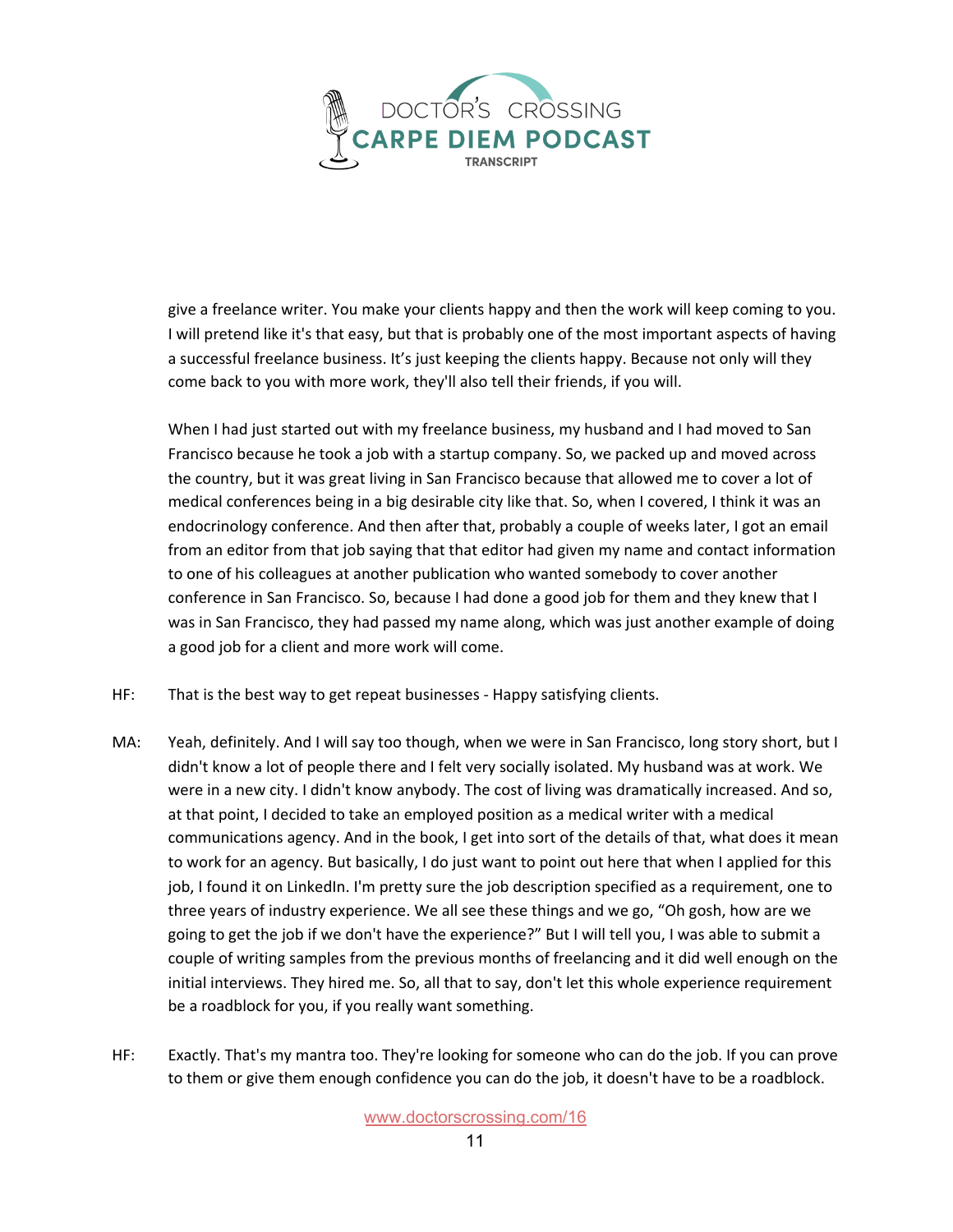

give a freelance writer. You make your clients happy and then the work will keep coming to you. I will pretend like it's that easy, but that is probably one of the most important aspects of having a successful freelance business. It's just keeping the clients happy. Because not only will they come back to you with more work, they'll also tell their friends, if you will.

When I had just started out with my freelance business, my husband and I had moved to San Francisco because he took a job with a startup company. So, we packed up and moved across the country, but it was great living in San Francisco because that allowed me to cover a lot of medical conferences being in a big desirable city like that. So, when I covered, I think it was an endocrinology conference. And then after that, probably a couple of weeks later, I got an email from an editor from that job saying that that editor had given my name and contact information to one of his colleagues at another publication who wanted somebody to cover another conference in San Francisco. So, because I had done a good job for them and they knew that I was in San Francisco, they had passed my name along, which was just another example of doing a good job for a client and more work will come.

- HF: That is the best way to get repeat businesses Happy satisfying clients.
- MA: Yeah, definitely. And I will say too though, when we were in San Francisco, long story short, but I didn't know a lot of people there and I felt very socially isolated. My husband was at work. We were in a new city. I didn't know anybody. The cost of living was dramatically increased. And so, at that point, I decided to take an employed position as a medical writer with a medical communications agency. And in the book, I get into sort of the details of that, what does it mean to work for an agency. But basically, I do just want to point out here that when I applied for this job, I found it on LinkedIn. I'm pretty sure the job description specified as a requirement, one to three years of industry experience. We all see these things and we go, "Oh gosh, how are we going to get the job if we don't have the experience?" But I will tell you, I was able to submit a couple of writing samples from the previous months of freelancing and it did well enough on the initial interviews. They hired me. So, all that to say, don't let this whole experience requirement be a roadblock for you, if you really want something.
- HF: Exactly. That's my mantra too. They're looking for someone who can do the job. If you can prove to them or give them enough confidence you can do the job, it doesn't have to be a roadblock.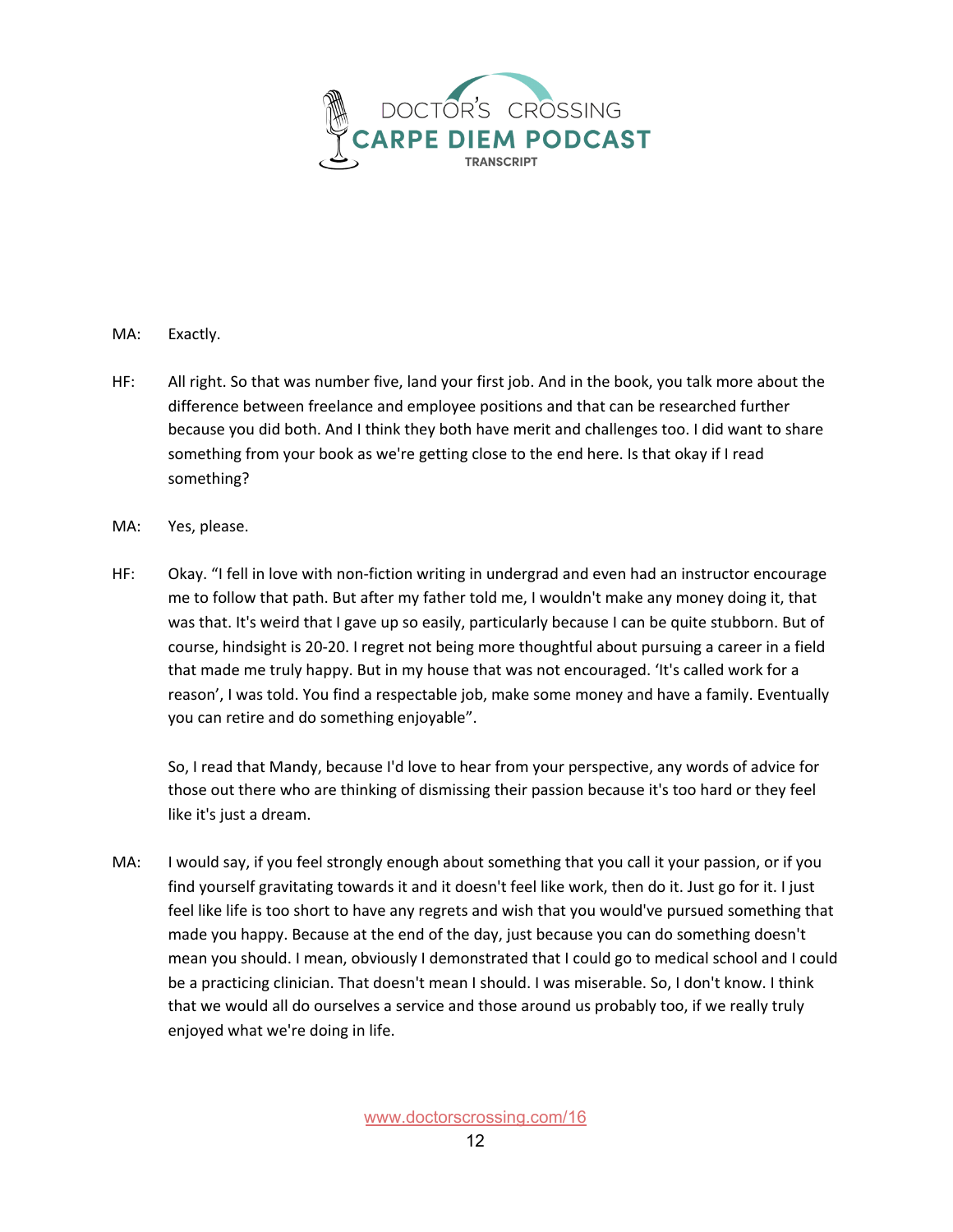

- MA: Exactly.
- HF: All right. So that was number five, land your first job. And in the book, you talk more about the difference between freelance and employee positions and that can be researched further because you did both. And I think they both have merit and challenges too. I did want to share something from your book as we're getting close to the end here. Is that okay if I read something?
- MA: Yes, please.
- HF: Okay. "I fell in love with non-fiction writing in undergrad and even had an instructor encourage me to follow that path. But after my father told me, I wouldn't make any money doing it, that was that. It's weird that I gave up so easily, particularly because I can be quite stubborn. But of course, hindsight is 20-20. I regret not being more thoughtful about pursuing a career in a field that made me truly happy. But in my house that was not encouraged. 'It's called work for a reason', I was told. You find a respectable job, make some money and have a family. Eventually you can retire and do something enjoyable".

So, I read that Mandy, because I'd love to hear from your perspective, any words of advice for those out there who are thinking of dismissing their passion because it's too hard or they feel like it's just a dream.

MA: I would say, if you feel strongly enough about something that you call it your passion, or if you find yourself gravitating towards it and it doesn't feel like work, then do it. Just go for it. I just feel like life is too short to have any regrets and wish that you would've pursued something that made you happy. Because at the end of the day, just because you can do something doesn't mean you should. I mean, obviously I demonstrated that I could go to medical school and I could be a practicing clinician. That doesn't mean I should. I was miserable. So, I don't know. I think that we would all do ourselves a service and those around us probably too, if we really truly enjoyed what we're doing in life.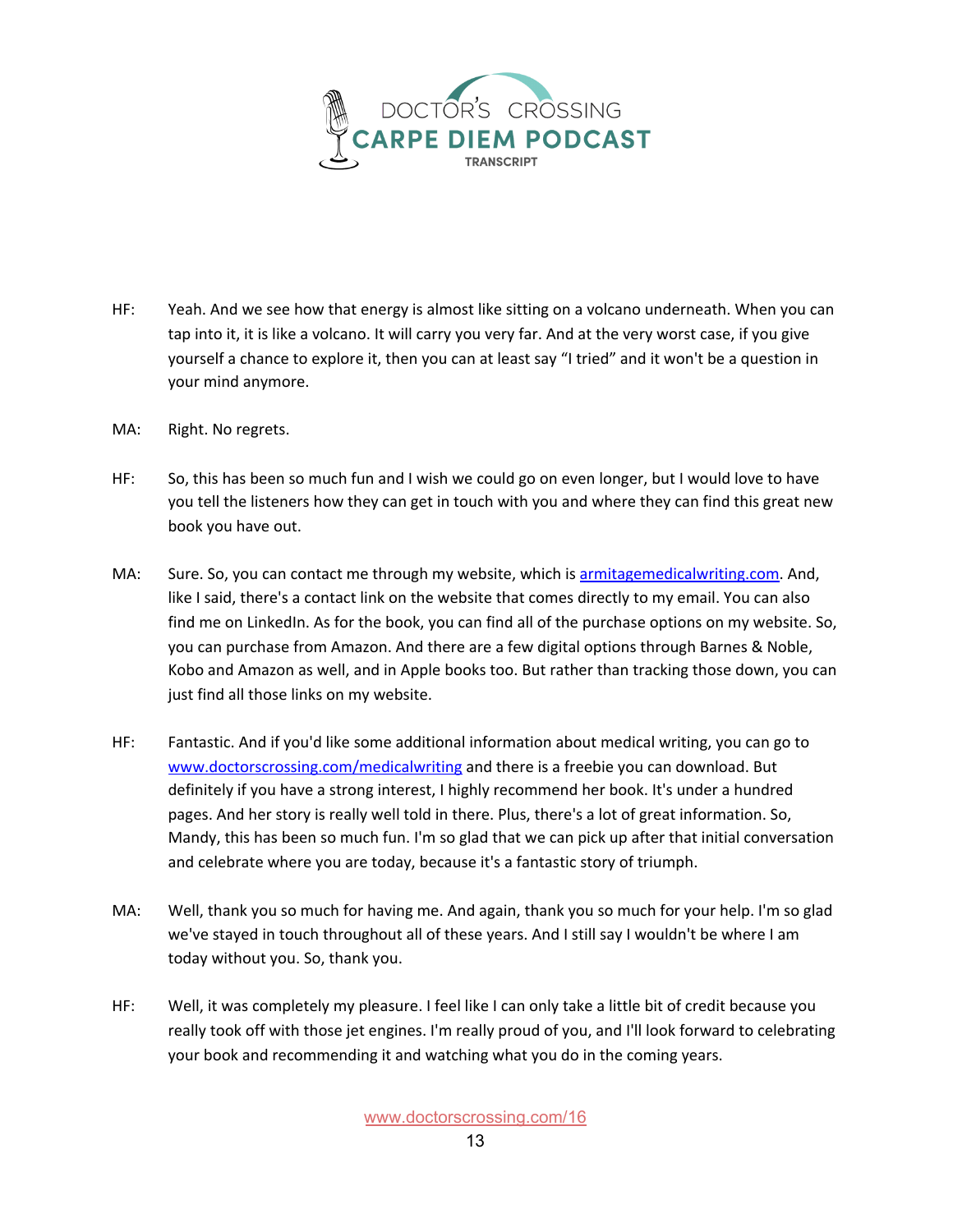

- HF: Yeah. And we see how that energy is almost like sitting on a volcano underneath. When you can tap into it, it is like a volcano. It will carry you very far. And at the very worst case, if you give yourself a chance to explore it, then you can at least say "I tried" and it won't be a question in your mind anymore.
- MA: Right. No regrets.
- HF: So, this has been so much fun and I wish we could go on even longer, but I would love to have you tell the listeners how they can get in touch with you and where they can find this great new book you have out.
- MA: Sure. So, you can contact me through my website, which is [armitagemedicalwriting.com.](https://www.armitagemedicalwriting.com/) And, like I said, there's a contact link on the website that comes directly to my email. You can also find me on LinkedIn. As for the book, you can find all of the purchase options on my website. So, you can purchase from Amazon. And there are a few digital options through Barnes & Noble, Kobo and Amazon as well, and in Apple books too. But rather than tracking those down, you can just find all those links on my website.
- HF: Fantastic. And if you'd like some additional information about medical writing, you can go to [www.doctorscrossing.com/medicalwriting](http://www.doctorscrossing.com/medicalwriting) and there is a freebie you can download. But definitely if you have a strong interest, I highly recommend her book. It's under a hundred pages. And her story is really well told in there. Plus, there's a lot of great information. So, Mandy, this has been so much fun. I'm so glad that we can pick up after that initial conversation and celebrate where you are today, because it's a fantastic story of triumph.
- MA: Well, thank you so much for having me. And again, thank you so much for your help. I'm so glad we've stayed in touch throughout all of these years. And I still say I wouldn't be where I am today without you. So, thank you.
- HF: Well, it was completely my pleasure. I feel like I can only take a little bit of credit because you really took off with those jet engines. I'm really proud of you, and I'll look forward to celebrating your book and recommending it and watching what you do in the coming years.